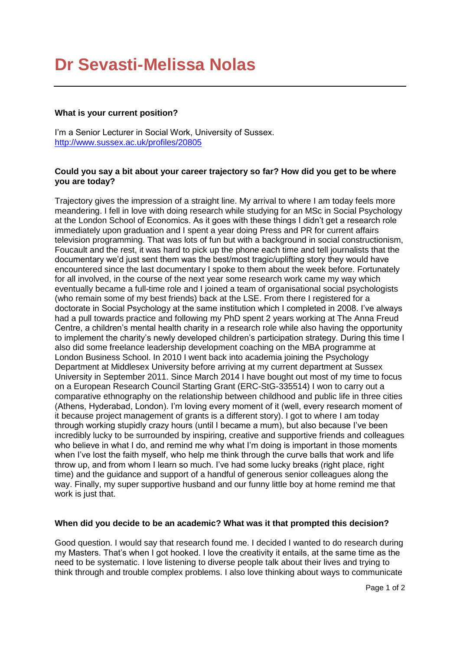# **Dr Sevasti-Melissa Nolas**

#### **What is your current position?**

I'm a Senior Lecturer in Social Work, University of Sussex. <http://www.sussex.ac.uk/profiles/20805>

#### **Could you say a bit about your career trajectory so far? How did you get to be where you are today?**

Trajectory gives the impression of a straight line. My arrival to where I am today feels more meandering. I fell in love with doing research while studying for an MSc in Social Psychology at the London School of Economics. As it goes with these things I didn't get a research role immediately upon graduation and I spent a year doing Press and PR for current affairs television programming. That was lots of fun but with a background in social constructionism, Foucault and the rest, it was hard to pick up the phone each time and tell journalists that the documentary we'd just sent them was the best/most tragic/uplifting story they would have encountered since the last documentary I spoke to them about the week before. Fortunately for all involved, in the course of the next year some research work came my way which eventually became a full-time role and I joined a team of organisational social psychologists (who remain some of my best friends) back at the LSE. From there I registered for a doctorate in Social Psychology at the same institution which I completed in 2008. I've always had a pull towards practice and following my PhD spent 2 years working at The Anna Freud Centre, a children's mental health charity in a research role while also having the opportunity to implement the charity's newly developed children's participation strategy. During this time I also did some freelance leadership development coaching on the MBA programme at London Business School. In 2010 I went back into academia joining the Psychology Department at Middlesex University before arriving at my current department at Sussex University in September 2011. Since March 2014 I have bought out most of my time to focus on a European Research Council Starting Grant (ERC-StG-335514) I won to carry out a comparative ethnography on the relationship between childhood and public life in three cities (Athens, Hyderabad, London). I'm loving every moment of it (well, every research moment of it because project management of grants is a different story). I got to where I am today through working stupidly crazy hours (until I became a mum), but also because I've been incredibly lucky to be surrounded by inspiring, creative and supportive friends and colleagues who believe in what I do, and remind me why what I'm doing is important in those moments when I've lost the faith myself, who help me think through the curve balls that work and life throw up, and from whom I learn so much. I've had some lucky breaks (right place, right time) and the guidance and support of a handful of generous senior colleagues along the way. Finally, my super supportive husband and our funny little boy at home remind me that work is just that.

#### **When did you decide to be an academic? What was it that prompted this decision?**

Good question. I would say that research found me. I decided I wanted to do research during my Masters. That's when I got hooked. I love the creativity it entails, at the same time as the need to be systematic. I love listening to diverse people talk about their lives and trying to think through and trouble complex problems. I also love thinking about ways to communicate